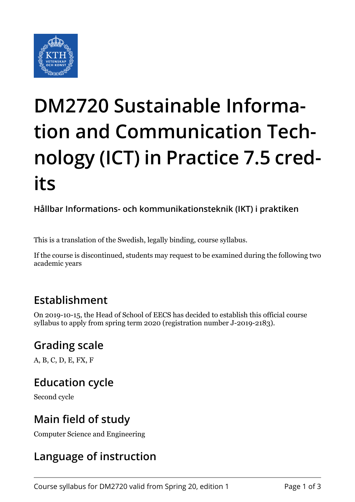

# **DM2720 Sustainable Information and Communication Technology (ICT) in Practice 7.5 credits**

**Hållbar Informations- och kommunikationsteknik (IKT) i praktiken**

This is a translation of the Swedish, legally binding, course syllabus.

If the course is discontinued, students may request to be examined during the following two academic years

## **Establishment**

On 2019-10-15, the Head of School of EECS has decided to establish this official course syllabus to apply from spring term 2020 (registration number J-2019-2183).

# **Grading scale**

A, B, C, D, E, FX, F

#### **Education cycle**

Second cycle

## **Main field of study**

Computer Science and Engineering

# **Language of instruction**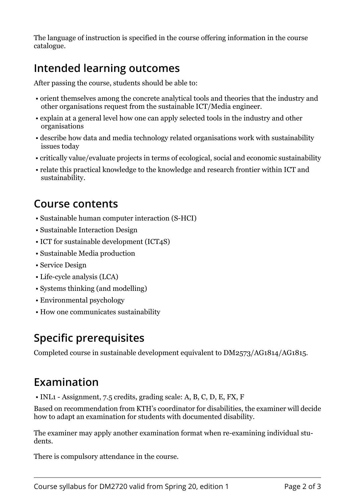The language of instruction is specified in the course offering information in the course catalogue.

# **Intended learning outcomes**

After passing the course, students should be able to:

- orient themselves among the concrete analytical tools and theories that the industry and other organisations request from the sustainable ICT/Media engineer.
- explain at a general level how one can apply selected tools in the industry and other organisations
- describe how data and media technology related organisations work with sustainability issues today
- critically value/evaluate projects in terms of ecological, social and economic sustainability
- relate this practical knowledge to the knowledge and research frontier within ICT and sustainability.

#### **Course contents**

- Sustainable human computer interaction (S-HCI)
- Sustainable Interaction Design
- ICT for sustainable development (ICT4S)
- Sustainable Media production
- Service Design
- Life-cycle analysis (LCA)
- Systems thinking (and modelling)
- Environmental psychology
- How one communicates sustainability

#### **Specific prerequisites**

Completed course in sustainable development equivalent to DM2573/AG1814/AG1815.

#### **Examination**

• INL1 - Assignment, 7.5 credits, grading scale: A, B, C, D, E, FX, F

Based on recommendation from KTH's coordinator for disabilities, the examiner will decide how to adapt an examination for students with documented disability.

The examiner may apply another examination format when re-examining individual students.

There is compulsory attendance in the course.